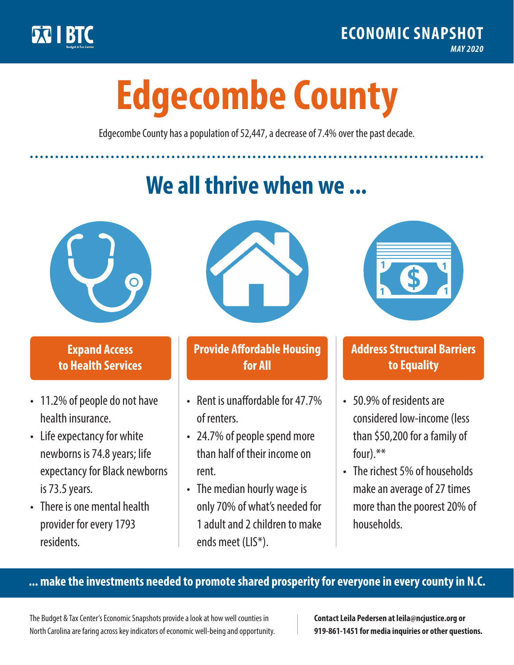

**1**

# **Edgecombe County**

Edgecombe County has a population of 52,447, a decrease of 7.4% over the past decade.

# **We all thrive when we ...**



**\$ <sup>1</sup>**

**\$ <sup>1</sup>**

### **Expand Access to Health Services**

- 11.2% of people do not have health insurance.
- Life expectancy for white newborns is 74.8years; life expectancy for Black newborns is 73.5years.
- There is one mental health provider for every 1793 residents.



### **Provide Affordable Housing for All**

- Rent is unaffordable for 47 7% of renters.
- 24.7% of people spend more than half of their income on rent.
- The median hourly wage is only 70% of what's needed for 1 adult and 2 children to make ends meet (LIS\*).



## **Address Structural Barriers to Equality**

- 50.9% of residents are considered low-income (less than \$50,200 for a family of four).\*\*
- The richest 5% of households make an average of 27 times more than the poorest 20% of households.

#### **... make the investments needed to promote shared prosperity for everyone in every county in N.C.**

The Budget & Tax Center's Economic Snapshots provide a look at how well counties in North Carolina are faring across key indicators of economic well-being and opportunity.